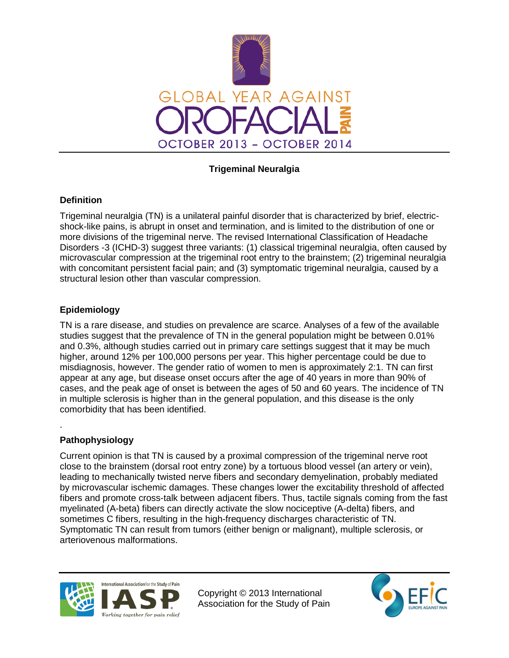

## **Trigeminal Neuralgia**

### **Definition**

Trigeminal neuralgia (TN) is a unilateral painful disorder that is characterized by brief, electricshock-like pains, is abrupt in onset and termination, and is limited to the distribution of one or more divisions of the trigeminal nerve. The revised International Classification of Headache Disorders -3 (ICHD-3) suggest three variants: (1) classical trigeminal neuralgia, often caused by microvascular compression at the trigeminal root entry to the brainstem; (2) trigeminal neuralgia with concomitant persistent facial pain; and (3) symptomatic trigeminal neuralgia, caused by a structural lesion other than vascular compression.

### **Epidemiology**

TN is a rare disease, and studies on prevalence are scarce. Analyses of a few of the available studies suggest that the prevalence of TN in the general population might be between 0.01% and 0.3%, although studies carried out in primary care settings suggest that it may be much higher, around 12% per 100,000 persons per year. This higher percentage could be due to misdiagnosis, however. The gender ratio of women to men is approximately 2:1. TN can first appear at any age, but disease onset occurs after the age of 40 years in more than 90% of cases, and the peak age of onset is between the ages of 50 and 60 years. The incidence of TN in multiple sclerosis is higher than in the general population, and this disease is the only comorbidity that has been identified.

### **Pathophysiology**

.

Current opinion is that TN is caused by a proximal compression of the trigeminal nerve root close to the brainstem (dorsal root entry zone) by a tortuous blood vessel (an artery or vein), leading to mechanically twisted nerve fibers and secondary demyelination, probably mediated by microvascular ischemic damages. These changes lower the excitability threshold of affected fibers and promote cross-talk between adjacent fibers. Thus, tactile signals coming from the fast myelinated (A-beta) fibers can directly activate the slow nociceptive (A-delta) fibers, and sometimes C fibers, resulting in the high-frequency discharges characteristic of TN. Symptomatic TN can result from tumors (either benign or malignant), multiple sclerosis, or arteriovenous malformations.



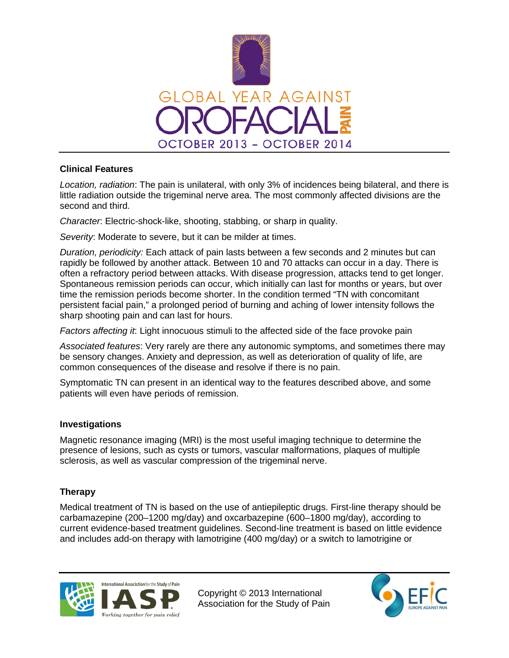

### **Clinical Features**

*Location, radiation*: The pain is unilateral, with only 3% of incidences being bilateral, and there is little radiation outside the trigeminal nerve area. The most commonly affected divisions are the second and third.

*Character*: Electric-shock-like, shooting, stabbing, or sharp in quality.

*Severity*: Moderate to severe, but it can be milder at times.

*Duration, periodicity:* Each attack of pain lasts between a few seconds and 2 minutes but can rapidly be followed by another attack. Between 10 and 70 attacks can occur in a day. There is often a refractory period between attacks. With disease progression, attacks tend to get longer. Spontaneous remission periods can occur, which initially can last for months or years, but over time the remission periods become shorter. In the condition termed "TN with concomitant persistent facial pain," a prolonged period of burning and aching of lower intensity follows the sharp shooting pain and can last for hours.

*Factors affecting it*: Light innocuous stimuli to the affected side of the face provoke pain

*Associated features*: Very rarely are there any autonomic symptoms, and sometimes there may be sensory changes. Anxiety and depression, as well as deterioration of quality of life, are common consequences of the disease and resolve if there is no pain.

Symptomatic TN can present in an identical way to the features described above, and some patients will even have periods of remission.

### **Investigations**

Magnetic resonance imaging (MRI) is the most useful imaging technique to determine the presence of lesions, such as cysts or tumors, vascular malformations, plaques of multiple sclerosis, as well as vascular compression of the trigeminal nerve.

# **Therapy**

Medical treatment of TN is based on the use of antiepileptic drugs. First-line therapy should be carbamazepine (200–1200 mg/day) and oxcarbazepine (600–1800 mg/day), according to current evidence-based treatment guidelines. Second-line treatment is based on little evidence and includes add-on therapy with lamotrigine (400 mg/day) or a switch to lamotrigine or



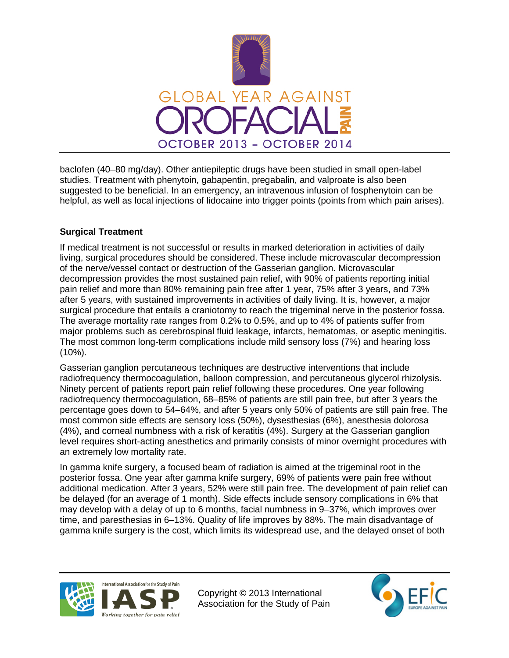

baclofen (40–80 mg/day). Other antiepileptic drugs have been studied in small open-label studies. Treatment with phenytoin, gabapentin, pregabalin, and valproate is also been suggested to be beneficial. In an emergency, an intravenous infusion of fosphenytoin can be helpful, as well as local injections of lidocaine into trigger points (points from which pain arises).

## **Surgical Treatment**

If medical treatment is not successful or results in marked deterioration in activities of daily living, surgical procedures should be considered. These include microvascular decompression of the nerve/vessel contact or destruction of the Gasserian ganglion. Microvascular decompression provides the most sustained pain relief, with 90% of patients reporting initial pain relief and more than 80% remaining pain free after 1 year, 75% after 3 years, and 73% after 5 years, with sustained improvements in activities of daily living. It is, however, a major surgical procedure that entails a craniotomy to reach the trigeminal nerve in the posterior fossa. The average mortality rate ranges from 0.2% to 0.5%, and up to 4% of patients suffer from major problems such as cerebrospinal fluid leakage, infarcts, hematomas, or aseptic meningitis. The most common long-term complications include mild sensory loss (7%) and hearing loss (10%).

Gasserian ganglion percutaneous techniques are destructive interventions that include radiofrequency thermocoagulation, balloon compression, and percutaneous glycerol rhizolysis. Ninety percent of patients report pain relief following these procedures. One year following radiofrequency thermocoagulation, 68–85% of patients are still pain free, but after 3 years the percentage goes down to 54–64%, and after 5 years only 50% of patients are still pain free. The most common side effects are sensory loss (50%), dysesthesias (6%), anesthesia dolorosa (4%), and corneal numbness with a risk of keratitis (4%). Surgery at the Gasserian ganglion level requires short-acting anesthetics and primarily consists of minor overnight procedures with an extremely low mortality rate.

In gamma knife surgery, a focused beam of radiation is aimed at the trigeminal root in the posterior fossa. One year after gamma knife surgery, 69% of patients were pain free without additional medication. After 3 years, 52% were still pain free. The development of pain relief can be delayed (for an average of 1 month). Side effects include sensory complications in 6% that may develop with a delay of up to 6 months, facial numbness in 9–37%, which improves over time, and paresthesias in 6–13%. Quality of life improves by 88%. The main disadvantage of gamma knife surgery is the cost, which limits its widespread use, and the delayed onset of both